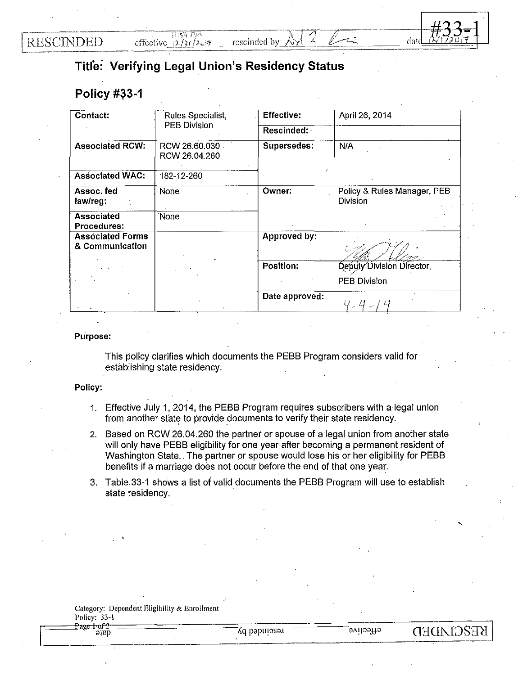**RESCINDED** 



## **Titfe: Verifying Legal Union's Residency Status**

## **Policy #33-1**

| Contact:                                   | Rules Specialist,<br><b>PEB Division</b> | <b>Effective:</b> | April 26, 2014                                 |
|--------------------------------------------|------------------------------------------|-------------------|------------------------------------------------|
|                                            |                                          | Rescinded:        |                                                |
| <b>Associated RCW:</b>                     | RCW 26.60.030<br>RCW 26.04.260           | Supersedes:       | N/A                                            |
| <b>Associated WAC:</b>                     | 182-12-260                               |                   |                                                |
| Assoc. fed<br>law/reg:                     | None                                     | Owner:            | Policy & Rules Manager, PEB<br><b>Division</b> |
| <b>Associated</b><br>Procedures:           | None                                     |                   |                                                |
| <b>Associated Forms</b><br>& Communication |                                          | Approved by:      |                                                |
|                                            |                                          | <b>Position:</b>  | Deputy Division Director.                      |
|                                            |                                          |                   | <b>PEB Division</b>                            |
|                                            |                                          | Date approved:    |                                                |

## Purpose:

This policy clarifies which documents the PEBB Program considers valid for establishing state residency.

Policy:

- 1. Effective July 1, 2014, the PEBB Program requires subscribers with a legal union from another state to provide documents to verify their state residency.
- 2. Based on RCW 26.04.260 the partner or spouse of a legal union from another state will only have PEBB eligibility for one year after becoming a permanent resident of Washington State .. The partner or spouse would lose his or her eligibility for PEBB benefits if a marriage does not occur before the end of that one year.
- 3. Table 33-1 shows a list of valid documents the PEBB Program will use to establish state residency.

Category: Dependent Eligibility & Enrollment

age tof 2  $q$ iale '